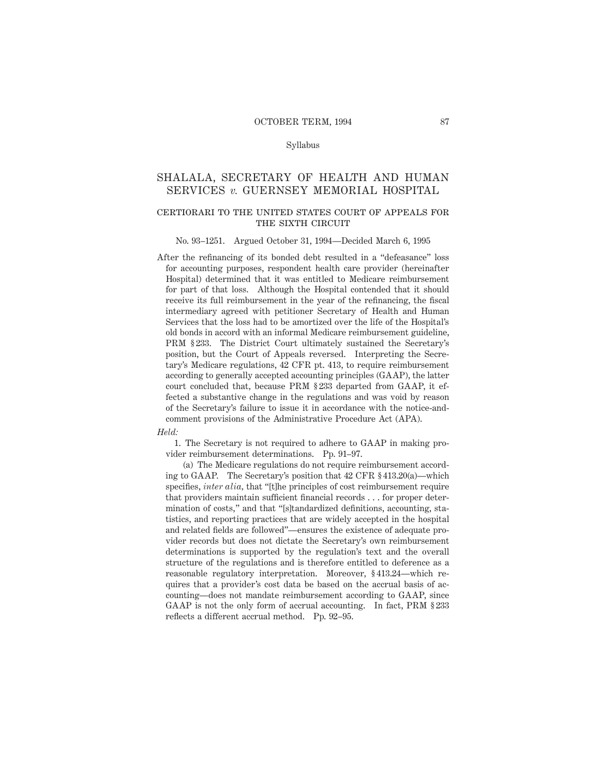### Syllabus

# SHALALA, SECRETARY OF HEALTH AND HUMAN SERVICES *v.* GUERNSEY MEMORIAL HOSPITAL

### certiorari to the united states court of appeals forTHE SIXTH CIRCUIT

#### No. 93–1251. Argued October 31, 1994—Decided March 6, 1995

After the refinancing of its bonded debt resulted in a "defeasance" loss for accounting purposes, respondent health care provider (hereinafter Hospital) determined that it was entitled to Medicare reimbursement for part of that loss. Although the Hospital contended that it should receive its full reimbursement in the year of the refinancing, the fiscal intermediary agreed with petitioner Secretary of Health and Human Services that the loss had to be amortized over the life of the Hospital's old bonds in accord with an informal Medicare reimbursement guideline, PRM § 233. The District Court ultimately sustained the Secretary's position, but the Court of Appeals reversed. Interpreting the Secretary's Medicare regulations, 42 CFR pt. 413, to require reimbursement according to generally accepted accounting principles (GAAP), the latter court concluded that, because PRM § 233 departed from GAAP, it effected a substantive change in the regulations and was void by reason of the Secretary's failure to issue it in accordance with the notice-andcomment provisions of the Administrative Procedure Act (APA).

#### *Held:*

1. The Secretary is not required to adhere to GAAP in making provider reimbursement determinations. Pp. 91–97.

(a) The Medicare regulations do not require reimbursement according to GAAP. The Secretary's position that 42 CFR § 413.20(a)—which specifies, *inter alia,* that "[t]he principles of cost reimbursement require that providers maintain sufficient financial records . . . for proper determination of costs," and that "[s]tandardized definitions, accounting, statistics, and reporting practices that are widely accepted in the hospital and related fields are followed"—ensures the existence of adequate provider records but does not dictate the Secretary's own reimbursement determinations is supported by the regulation's text and the overall structure of the regulations and is therefore entitled to deference as a reasonable regulatory interpretation. Moreover, § 413.24—which requires that a provider's cost data be based on the accrual basis of accounting—does not mandate reimbursement according to GAAP, since GAAP is not the only form of accrual accounting. In fact, PRM § 233 reflects a different accrual method. Pp. 92–95.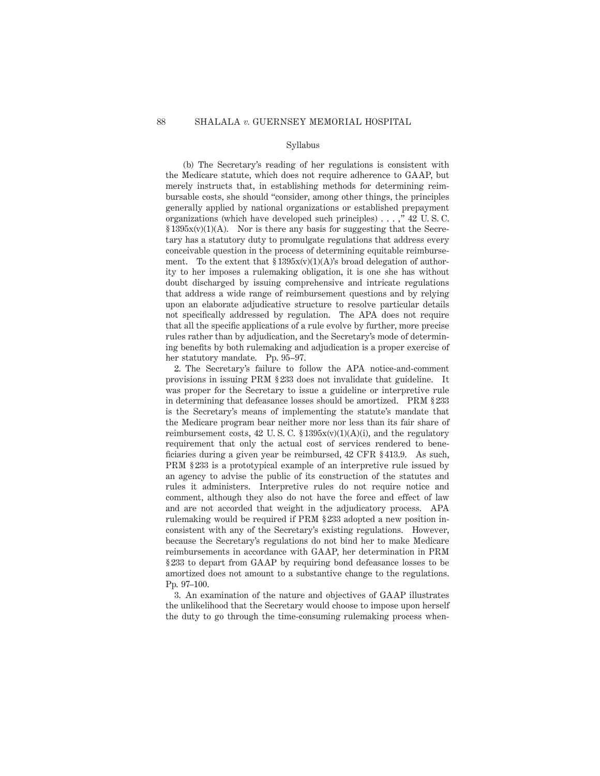### Syllabus

(b) The Secretary's reading of her regulations is consistent with the Medicare statute, which does not require adherence to GAAP, but merely instructs that, in establishing methods for determining reimbursable costs, she should "consider, among other things, the principles generally applied by national organizations or established prepayment organizations (which have developed such principles) . . . ," 42 U. S. C.  $§ 1395x(v)(1)(A)$ . Nor is there any basis for suggesting that the Secretary has a statutory duty to promulgate regulations that address every conceivable question in the process of determining equitable reimbursement. To the extent that  $$1395x(v)(1)(A)'s$  broad delegation of authority to her imposes a rulemaking obligation, it is one she has without doubt discharged by issuing comprehensive and intricate regulations that address a wide range of reimbursement questions and by relying upon an elaborate adjudicative structure to resolve particular details not specifically addressed by regulation. The APA does not require that all the specific applications of a rule evolve by further, more precise rules rather than by adjudication, and the Secretary's mode of determining benefits by both rulemaking and adjudication is a proper exercise of her statutory mandate. Pp. 95–97.

2. The Secretary's failure to follow the APA notice-and-comment provisions in issuing PRM § 233 does not invalidate that guideline. It was proper for the Secretary to issue a guideline or interpretive rule in determining that defeasance losses should be amortized. PRM § 233 is the Secretary's means of implementing the statute's mandate that the Medicare program bear neither more nor less than its fair share of reimbursement costs, 42 U.S.C.  $\S 1395x(v)(1)(A)(i)$ , and the regulatory requirement that only the actual cost of services rendered to beneficiaries during a given year be reimbursed, 42 CFR § 413.9. As such, PRM § 233 is a prototypical example of an interpretive rule issued by an agency to advise the public of its construction of the statutes and rules it administers. Interpretive rules do not require notice and comment, although they also do not have the force and effect of law and are not accorded that weight in the adjudicatory process. APA rulemaking would be required if PRM § 233 adopted a new position inconsistent with any of the Secretary's existing regulations. However, because the Secretary's regulations do not bind her to make Medicare reimbursements in accordance with GAAP, her determination in PRM § 233 to depart from GAAP by requiring bond defeasance losses to be amortized does not amount to a substantive change to the regulations. Pp. 97–100.

3. An examination of the nature and objectives of GAAP illustrates the unlikelihood that the Secretary would choose to impose upon herself the duty to go through the time-consuming rulemaking process when-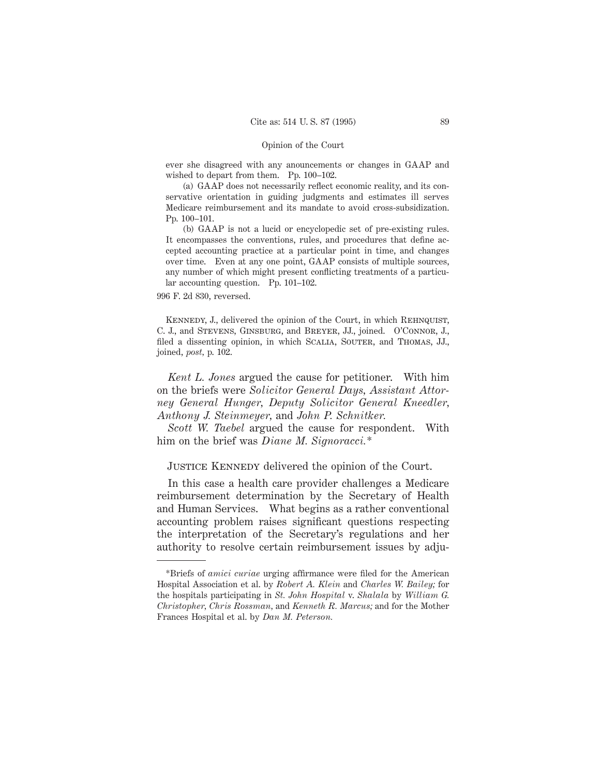ever she disagreed with any anouncements or changes in GAAP and wished to depart from them. Pp. 100–102.

(a) GAAP does not necessarily reflect economic reality, and its conservative orientation in guiding judgments and estimates ill serves Medicare reimbursement and its mandate to avoid cross-subsidization. Pp. 100–101.

(b) GAAP is not a lucid or encyclopedic set of pre-existing rules. It encompasses the conventions, rules, and procedures that define accepted accounting practice at a particular point in time, and changes over time. Even at any one point, GAAP consists of multiple sources, any number of which might present conflicting treatments of a particular accounting question. Pp. 101–102.

996 F. 2d 830, reversed.

KENNEDY, J., delivered the opinion of the Court, in which REHNQUIST, C. J., and Stevens, Ginsburg, and Breyer, JJ., joined. O'Connor, J., filed a dissenting opinion, in which SCALIA, SOUTER, and THOMAS, JJ., joined, *post,* p. 102.

*Kent L. Jones* argued the cause for petitioner. With him on the briefs were *Solicitor General Days, Assistant Attorney General Hunger, Deputy Solicitor General Kneedler, Anthony J. Steinmeyer,* and *John P. Schnitker.*

*Scott W. Taebel* argued the cause for respondent. With him on the brief was *Diane M. Signoracci.\**

JUSTICE KENNEDY delivered the opinion of the Court.

In this case a health care provider challenges a Medicare reimbursement determination by the Secretary of Health and Human Services. What begins as a rather conventional accounting problem raises significant questions respecting the interpretation of the Secretary's regulations and her authority to resolve certain reimbursement issues by adju-

<sup>\*</sup>Briefs of *amici curiae* urging affirmance were filed for the American Hospital Association et al. by *Robert A. Klein* and *Charles W. Bailey;* for the hospitals participating in *St. John Hospital* v. *Shalala* by *William G. Christopher, Chris Rossman,* and *Kenneth R. Marcus;* and for the Mother Frances Hospital et al. by *Dan M. Peterson.*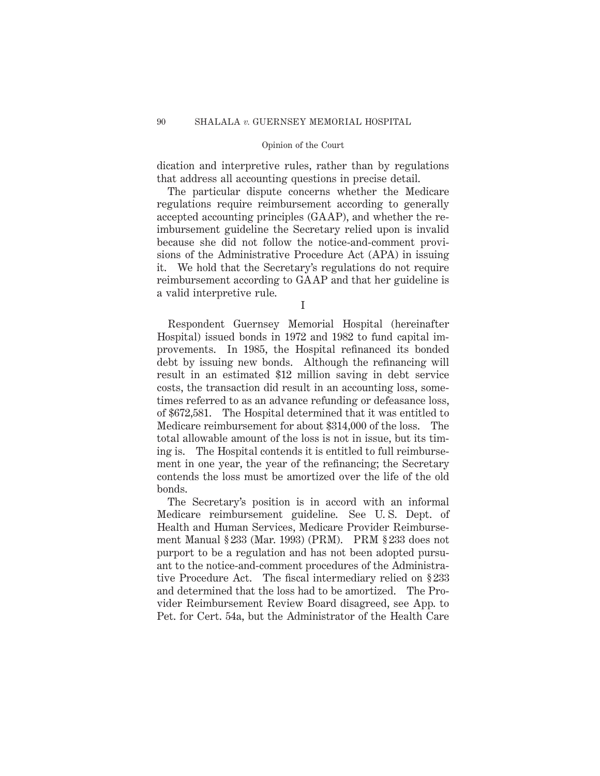dication and interpretive rules, rather than by regulations that address all accounting questions in precise detail.

The particular dispute concerns whether the Medicare regulations require reimbursement according to generally accepted accounting principles (GAAP), and whether the reimbursement guideline the Secretary relied upon is invalid because she did not follow the notice-and-comment provisions of the Administrative Procedure Act (APA) in issuing it. We hold that the Secretary's regulations do not require reimbursement according to GAAP and that her guideline is a valid interpretive rule.

Respondent Guernsey Memorial Hospital (hereinafter Hospital) issued bonds in 1972 and 1982 to fund capital improvements. In 1985, the Hospital refinanced its bonded debt by issuing new bonds. Although the refinancing will result in an estimated \$12 million saving in debt service costs, the transaction did result in an accounting loss, sometimes referred to as an advance refunding or defeasance loss, of \$672,581. The Hospital determined that it was entitled to Medicare reimbursement for about \$314,000 of the loss. The total allowable amount of the loss is not in issue, but its timing is. The Hospital contends it is entitled to full reimbursement in one year, the year of the refinancing; the Secretary contends the loss must be amortized over the life of the old bonds.

The Secretary's position is in accord with an informal Medicare reimbursement guideline. See U. S. Dept. of Health and Human Services, Medicare Provider Reimbursement Manual § 233 (Mar. 1993) (PRM). PRM § 233 does not purport to be a regulation and has not been adopted pursuant to the notice-and-comment procedures of the Administrative Procedure Act. The fiscal intermediary relied on § 233 and determined that the loss had to be amortized. The Provider Reimbursement Review Board disagreed, see App. to Pet. for Cert. 54a, but the Administrator of the Health Care

I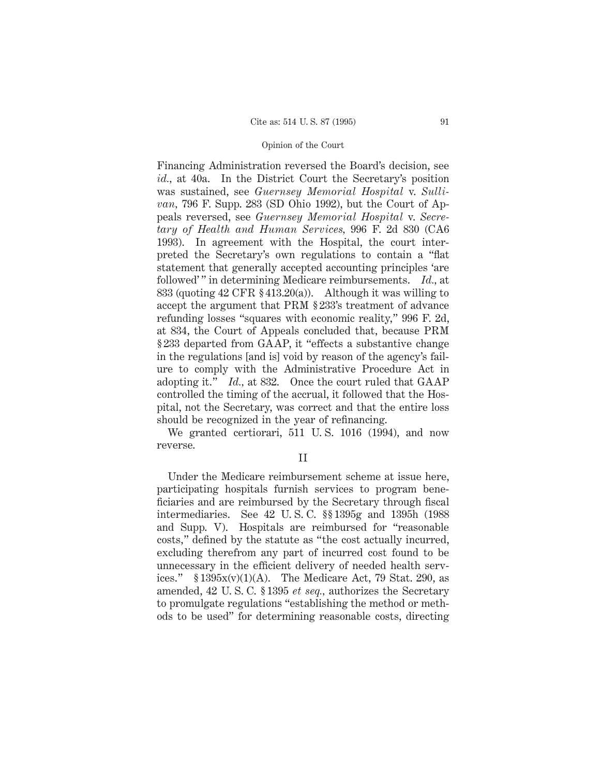Financing Administration reversed the Board's decision, see *id.,* at 40a. In the District Court the Secretary's position was sustained, see *Guernsey Memorial Hospital* v. *Sullivan,* 796 F. Supp. 283 (SD Ohio 1992), but the Court of Appeals reversed, see *Guernsey Memorial Hospital* v. *Secretary of Health and Human Services,* 996 F. 2d 830 (CA6 1993). In agreement with the Hospital, the court interpreted the Secretary's own regulations to contain a "flat statement that generally accepted accounting principles 'are followed' " in determining Medicare reimbursements. *Id.,* at 833 (quoting 42 CFR § 413.20(a)). Although it was willing to accept the argument that PRM § 233's treatment of advance refunding losses "squares with economic reality," 996 F. 2d, at 834, the Court of Appeals concluded that, because PRM § 233 departed from GAAP, it "effects a substantive change in the regulations [and is] void by reason of the agency's failure to comply with the Administrative Procedure Act in adopting it." *Id.,* at 832. Once the court ruled that GAAP controlled the timing of the accrual, it followed that the Hospital, not the Secretary, was correct and that the entire loss should be recognized in the year of refinancing.

We granted certiorari, 511 U. S. 1016 (1994), and now reverse.

II

Under the Medicare reimbursement scheme at issue here, participating hospitals furnish services to program beneficiaries and are reimbursed by the Secretary through fiscal intermediaries. See 42 U. S. C. §§ 1395g and 1395h (1988 and Supp. V). Hospitals are reimbursed for "reasonable costs," defined by the statute as "the cost actually incurred, excluding therefrom any part of incurred cost found to be unnecessary in the efficient delivery of needed health services."  $$1395x(v)(1)(A)$ . The Medicare Act, 79 Stat. 290, as amended, 42 U. S. C. § 1395 *et seq.,* authorizes the Secretary to promulgate regulations "establishing the method or methods to be used" for determining reasonable costs, directing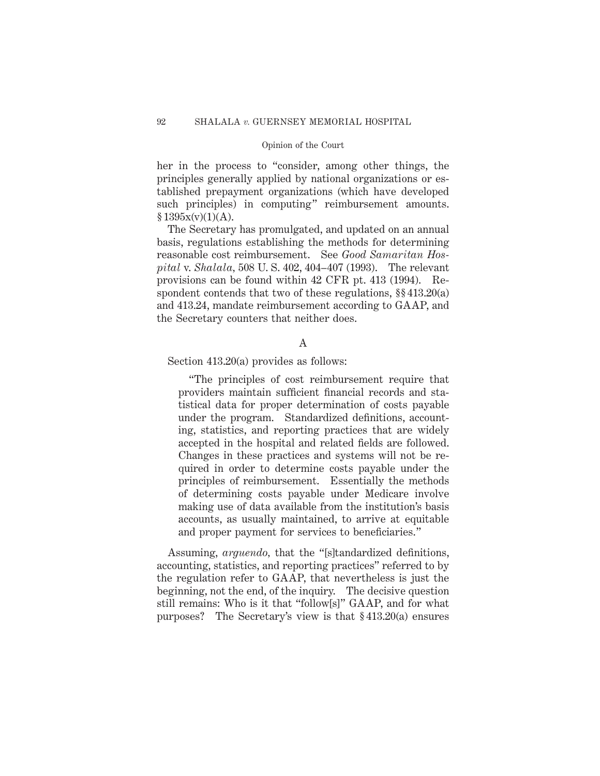her in the process to "consider, among other things, the principles generally applied by national organizations or established prepayment organizations (which have developed such principles) in computing" reimbursement amounts.  $§ 1395x(v)(1)(A).$ 

The Secretary has promulgated, and updated on an annual basis, regulations establishing the methods for determining reasonable cost reimbursement. See *Good Samaritan Hospital* v. *Shalala,* 508 U. S. 402, 404–407 (1993). The relevant provisions can be found within 42 CFR pt. 413 (1994). Respondent contends that two of these regulations,  $\S$  413.20(a) and 413.24, mandate reimbursement according to GAAP, and the Secretary counters that neither does.

### A

Section 413.20(a) provides as follows:

"The principles of cost reimbursement require that providers maintain sufficient financial records and statistical data for proper determination of costs payable under the program. Standardized definitions, accounting, statistics, and reporting practices that are widely accepted in the hospital and related fields are followed. Changes in these practices and systems will not be required in order to determine costs payable under the principles of reimbursement. Essentially the methods of determining costs payable under Medicare involve making use of data available from the institution's basis accounts, as usually maintained, to arrive at equitable and proper payment for services to beneficiaries."

Assuming, *arguendo,* that the "[s]tandardized definitions, accounting, statistics, and reporting practices" referred to by the regulation refer to GAAP, that nevertheless is just the beginning, not the end, of the inquiry. The decisive question still remains: Who is it that "follow[s]" GAAP, and for what purposes? The Secretary's view is that § 413.20(a) ensures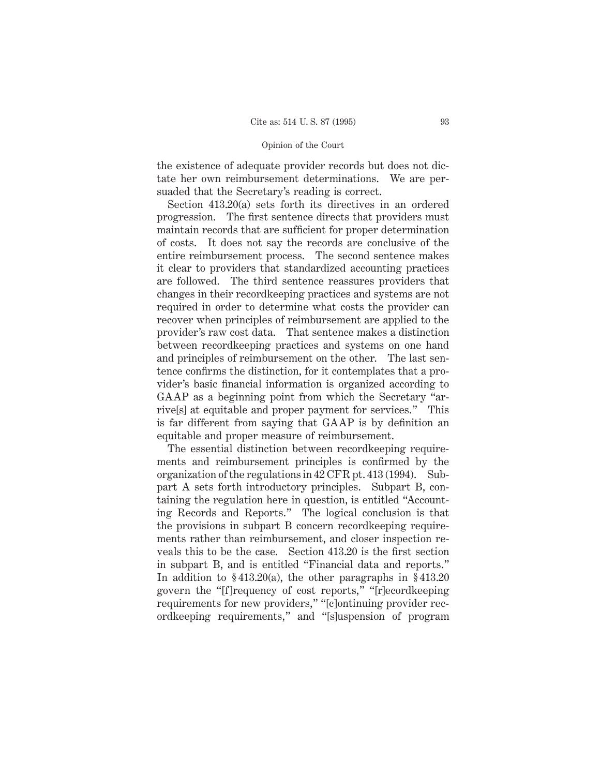the existence of adequate provider records but does not dictate her own reimbursement determinations. We are persuaded that the Secretary's reading is correct.

Section 413.20(a) sets forth its directives in an ordered progression. The first sentence directs that providers must maintain records that are sufficient for proper determination of costs. It does not say the records are conclusive of the entire reimbursement process. The second sentence makes it clear to providers that standardized accounting practices are followed. The third sentence reassures providers that changes in their recordkeeping practices and systems are not required in order to determine what costs the provider can recover when principles of reimbursement are applied to the provider's raw cost data. That sentence makes a distinction between recordkeeping practices and systems on one hand and principles of reimbursement on the other. The last sentence confirms the distinction, for it contemplates that a provider's basic financial information is organized according to GAAP as a beginning point from which the Secretary "arrive[s] at equitable and proper payment for services." This is far different from saying that GAAP is by definition an equitable and proper measure of reimbursement.

The essential distinction between recordkeeping requirements and reimbursement principles is confirmed by the organization of the regulations in 42 CFR pt. 413 (1994). Subpart A sets forth introductory principles. Subpart B, containing the regulation here in question, is entitled "Accounting Records and Reports." The logical conclusion is that the provisions in subpart B concern recordkeeping requirements rather than reimbursement, and closer inspection reveals this to be the case. Section 413.20 is the first section in subpart B, and is entitled "Financial data and reports." In addition to § 413.20(a), the other paragraphs in § 413.20 govern the "[f]requency of cost reports," "[r]ecordkeeping requirements for new providers," "[c]ontinuing provider recordkeeping requirements," and "[s]uspension of program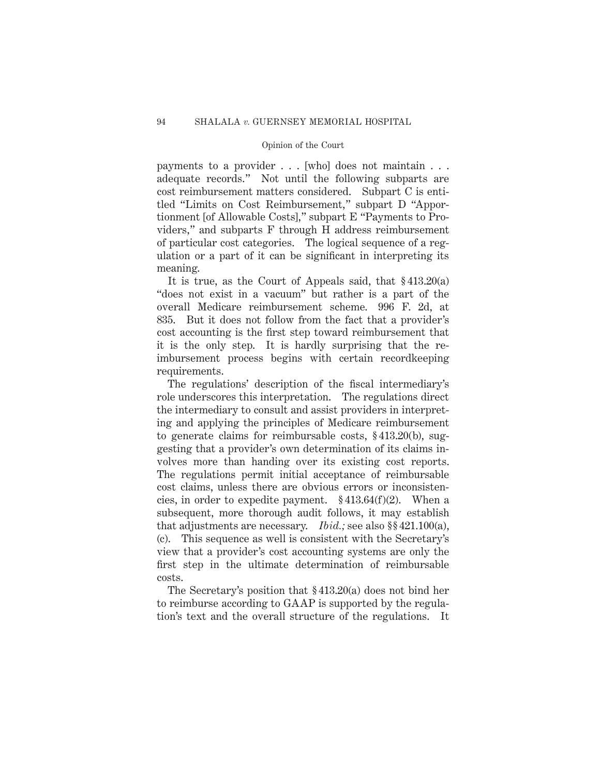payments to a provider . . . [who] does not maintain . . . adequate records." Not until the following subparts are cost reimbursement matters considered. Subpart C is entitled "Limits on Cost Reimbursement," subpart D "Apportionment [of Allowable Costs]," subpart E "Payments to Providers," and subparts F through H address reimbursement of particular cost categories. The logical sequence of a regulation or a part of it can be significant in interpreting its meaning.

It is true, as the Court of Appeals said, that § 413.20(a) "does not exist in a vacuum" but rather is a part of the overall Medicare reimbursement scheme. 996 F. 2d, at 835. But it does not follow from the fact that a provider's cost accounting is the first step toward reimbursement that it is the only step. It is hardly surprising that the reimbursement process begins with certain recordkeeping requirements.

The regulations' description of the fiscal intermediary's role underscores this interpretation. The regulations direct the intermediary to consult and assist providers in interpreting and applying the principles of Medicare reimbursement to generate claims for reimbursable costs, § 413.20(b), suggesting that a provider's own determination of its claims involves more than handing over its existing cost reports. The regulations permit initial acceptance of reimbursable cost claims, unless there are obvious errors or inconsistencies, in order to expedite payment. § 413.64(f)(2). When a subsequent, more thorough audit follows, it may establish that adjustments are necessary. *Ibid.;* see also §§ 421.100(a), (c). This sequence as well is consistent with the Secretary's view that a provider's cost accounting systems are only the first step in the ultimate determination of reimbursable costs.

The Secretary's position that § 413.20(a) does not bind her to reimburse according to GAAP is supported by the regulation's text and the overall structure of the regulations. It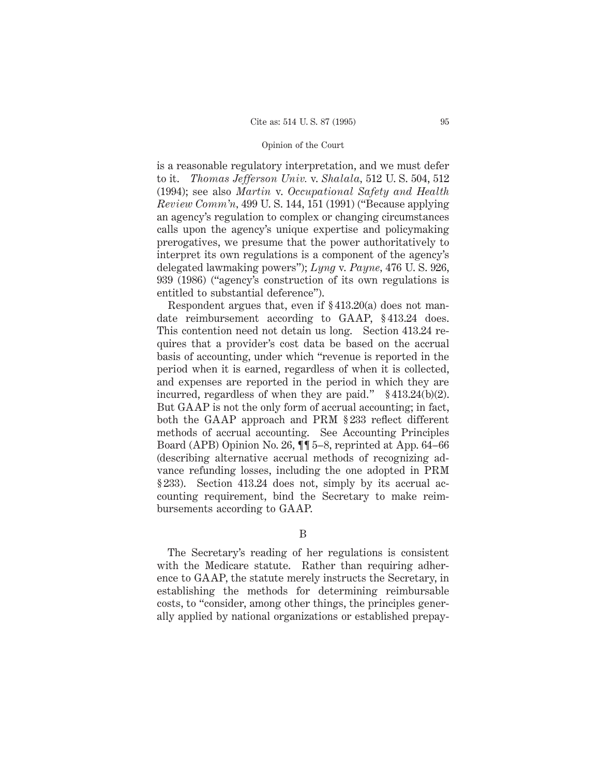is a reasonable regulatory interpretation, and we must defer to it. *Thomas Jefferson Univ.* v. *Shalala,* 512 U. S. 504, 512 (1994); see also *Martin* v. *Occupational Safety and Health Review Comm'n,* 499 U. S. 144, 151 (1991) ("Because applying an agency's regulation to complex or changing circumstances calls upon the agency's unique expertise and policymaking prerogatives, we presume that the power authoritatively to interpret its own regulations is a component of the agency's delegated lawmaking powers"); *Lyng* v. *Payne,* 476 U. S. 926, 939 (1986) ("agency's construction of its own regulations is entitled to substantial deference").

Respondent argues that, even if § 413.20(a) does not mandate reimbursement according to GAAP, § 413.24 does. This contention need not detain us long. Section 413.24 requires that a provider's cost data be based on the accrual basis of accounting, under which "revenue is reported in the period when it is earned, regardless of when it is collected, and expenses are reported in the period in which they are incurred, regardless of when they are paid." § 413.24(b)(2). But GAAP is not the only form of accrual accounting; in fact, both the GAAP approach and PRM § 233 reflect different methods of accrual accounting. See Accounting Principles Board (APB) Opinion No. 26, ¶¶ 5–8, reprinted at App. 64–66 (describing alternative accrual methods of recognizing advance refunding losses, including the one adopted in PRM § 233). Section 413.24 does not, simply by its accrual accounting requirement, bind the Secretary to make reimbursements according to GAAP.

B

The Secretary's reading of her regulations is consistent with the Medicare statute. Rather than requiring adherence to GAAP, the statute merely instructs the Secretary, in establishing the methods for determining reimbursable costs, to "consider, among other things, the principles generally applied by national organizations or established prepay-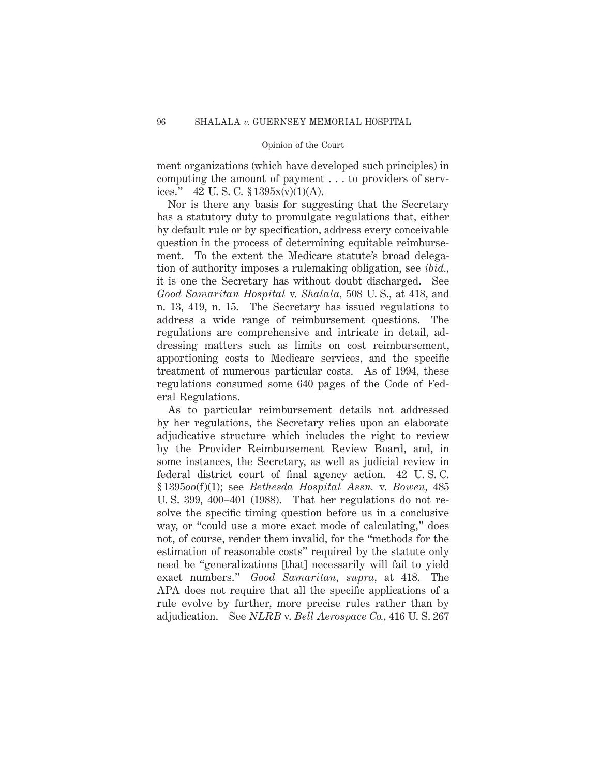ment organizations (which have developed such principles) in computing the amount of payment . . . to providers of services." 42 U.S.C.  $$1395x(v)(1)(A)$ .

Nor is there any basis for suggesting that the Secretary has a statutory duty to promulgate regulations that, either by default rule or by specification, address every conceivable question in the process of determining equitable reimbursement. To the extent the Medicare statute's broad delegation of authority imposes a rulemaking obligation, see *ibid.,* it is one the Secretary has without doubt discharged. See *Good Samaritan Hospital* v. *Shalala,* 508 U. S., at 418, and n. 13, 419, n. 15. The Secretary has issued regulations to address a wide range of reimbursement questions. The regulations are comprehensive and intricate in detail, addressing matters such as limits on cost reimbursement, apportioning costs to Medicare services, and the specific treatment of numerous particular costs. As of 1994, these regulations consumed some 640 pages of the Code of Federal Regulations.

As to particular reimbursement details not addressed by her regulations, the Secretary relies upon an elaborate adjudicative structure which includes the right to review by the Provider Reimbursement Review Board, and, in some instances, the Secretary, as well as judicial review in federal district court of final agency action. 42 U. S. C. § 1395*oo*(f)(1); see *Bethesda Hospital Assn.* v. *Bowen,* 485 U. S. 399, 400–401 (1988). That her regulations do not resolve the specific timing question before us in a conclusive way, or "could use a more exact mode of calculating," does not, of course, render them invalid, for the "methods for the estimation of reasonable costs" required by the statute only need be "generalizations [that] necessarily will fail to yield exact numbers." *Good Samaritan, supra,* at 418. The APA does not require that all the specific applications of a rule evolve by further, more precise rules rather than by adjudication. See *NLRB* v. *Bell Aerospace Co.,* 416 U. S. 267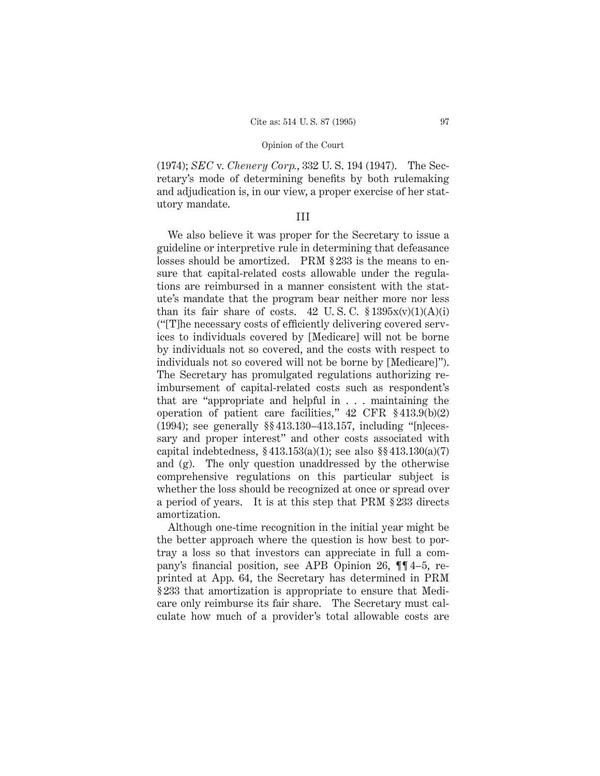(1974); *SEC* v. *Chenery Corp.*, 332 U. S. 194 (1947). The Secretary's mode of determining benefits by both rulemaking and adjudication is, in our view, a proper exercise of her statutory mandate.

#### III

We also believe it was proper for the Secretary to issue a guideline or interpretive rule in determining that defeasance losses should be amortized. PRM § 233 is the means to ensure that capital-related costs allowable under the regulations are reimbursed in a manner consistent with the statute's mandate that the program bear neither more nor less than its fair share of costs. 42 U.S.C.  $\frac{1395x(v)(1)(A)(i)}{2}$ ("[T]he necessary costs of efficiently delivering covered services to individuals covered by [Medicare] will not be borne by individuals not so covered, and the costs with respect to individuals not so covered will not be borne by [Medicare]"). The Secretary has promulgated regulations authorizing reimbursement of capital-related costs such as respondent's that are "appropriate and helpful in . . . maintaining the operation of patient care facilities," 42 CFR § 413.9(b)(2) (1994); see generally §§ 413.130–413.157, including "[n]ecessary and proper interest" and other costs associated with capital indebtedness,  $§ 413.153(a)(1)$ ; see also  $§ 413.130(a)(7)$ and (g). The only question unaddressed by the otherwise comprehensive regulations on this particular subject is whether the loss should be recognized at once or spread over a period of years. It is at this step that PRM § 233 directs amortization.

Although one-time recognition in the initial year might be the better approach where the question is how best to portray a loss so that investors can appreciate in full a company's financial position, see APB Opinion 26, ¶¶ 4–5, reprinted at App. 64, the Secretary has determined in PRM § 233 that amortization is appropriate to ensure that Medicare only reimburse its fair share. The Secretary must calculate how much of a provider's total allowable costs are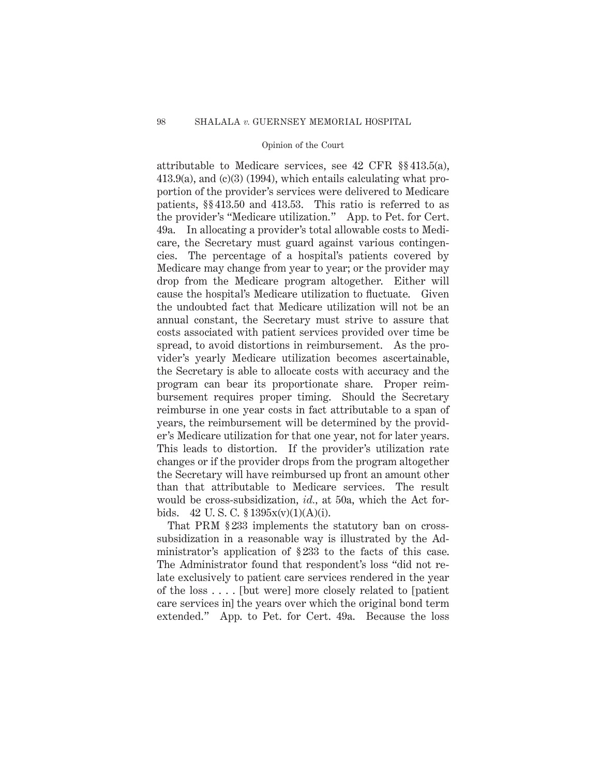attributable to Medicare services, see 42 CFR §§ 413.5(a), 413.9(a), and (c)(3) (1994), which entails calculating what proportion of the provider's services were delivered to Medicare patients, §§ 413.50 and 413.53. This ratio is referred to as the provider's "Medicare utilization." App. to Pet. for Cert. 49a. In allocating a provider's total allowable costs to Medicare, the Secretary must guard against various contingencies. The percentage of a hospital's patients covered by Medicare may change from year to year; or the provider may drop from the Medicare program altogether. Either will cause the hospital's Medicare utilization to fluctuate. Given the undoubted fact that Medicare utilization will not be an annual constant, the Secretary must strive to assure that costs associated with patient services provided over time be spread, to avoid distortions in reimbursement. As the provider's yearly Medicare utilization becomes ascertainable, the Secretary is able to allocate costs with accuracy and the program can bear its proportionate share. Proper reimbursement requires proper timing. Should the Secretary reimburse in one year costs in fact attributable to a span of years, the reimbursement will be determined by the provider's Medicare utilization for that one year, not for later years. This leads to distortion. If the provider's utilization rate changes or if the provider drops from the program altogether the Secretary will have reimbursed up front an amount other than that attributable to Medicare services. The result would be cross-subsidization, *id.,* at 50a, which the Act forbids. 42 U.S.C.  $$1395x(v)(1)(A)(i)$ .

That PRM § 233 implements the statutory ban on crosssubsidization in a reasonable way is illustrated by the Administrator's application of § 233 to the facts of this case. The Administrator found that respondent's loss "did not relate exclusively to patient care services rendered in the year of the loss . . . . [but were] more closely related to [patient care services in] the years over which the original bond term extended." App. to Pet. for Cert. 49a. Because the loss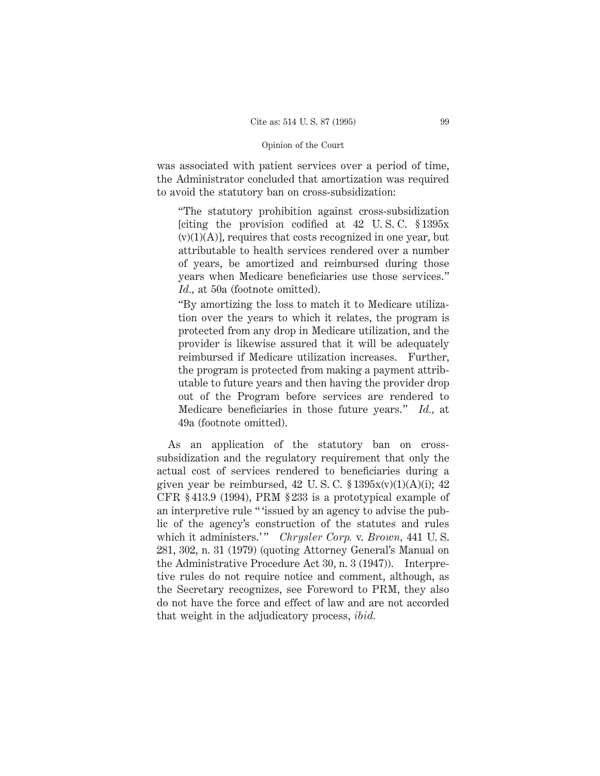was associated with patient services over a period of time, the Administrator concluded that amortization was required to avoid the statutory ban on cross-subsidization:

"The statutory prohibition against cross-subsidization [citing the provision codified at 42 U.S.C.  $\S 1395x$  $(v)(1)(A)$ , requires that costs recognized in one year, but attributable to health services rendered over a number of years, be amortized and reimbursed during those years when Medicare beneficiaries use those services." *Id.,* at 50a (footnote omitted).

"By amortizing the loss to match it to Medicare utilization over the years to which it relates, the program is protected from any drop in Medicare utilization, and the provider is likewise assured that it will be adequately reimbursed if Medicare utilization increases. Further, the program is protected from making a payment attributable to future years and then having the provider drop out of the Program before services are rendered to Medicare beneficiaries in those future years." *Id.,* at 49a (footnote omitted).

As an application of the statutory ban on crosssubsidization and the regulatory requirement that only the actual cost of services rendered to beneficiaries during a given year be reimbursed, 42 U.S.C.  $$1395x(v)(1)(A)(i); 42$ CFR § 413.9 (1994), PRM § 233 is a prototypical example of an interpretive rule " 'issued by an agency to advise the public of the agency's construction of the statutes and rules which it administers.'" *Chrysler Corp. v. Brown,* 441 U.S. 281, 302, n. 31 (1979) (quoting Attorney General's Manual on the Administrative Procedure Act 30, n. 3 (1947)). Interpretive rules do not require notice and comment, although, as the Secretary recognizes, see Foreword to PRM, they also do not have the force and effect of law and are not accorded that weight in the adjudicatory process, *ibid.*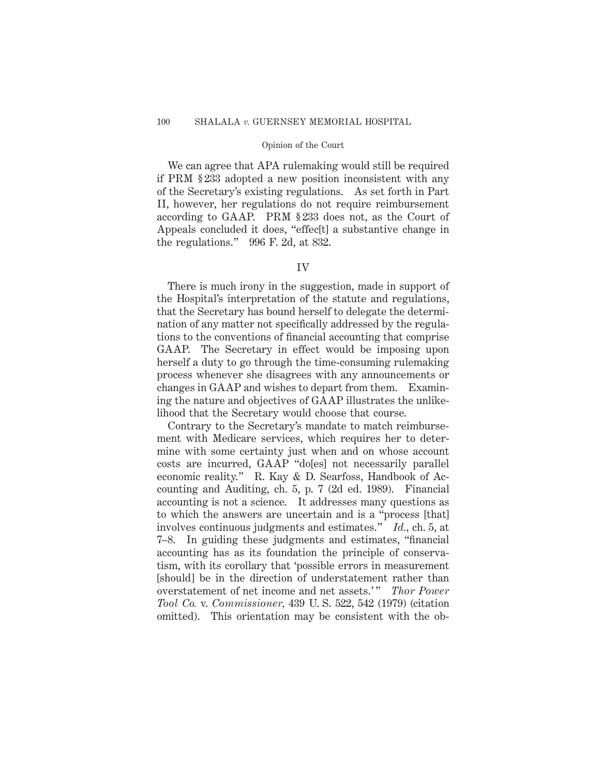We can agree that APA rulemaking would still be required if PRM § 233 adopted a new position inconsistent with any of the Secretary's existing regulations. As set forth in Part II, however, her regulations do not require reimbursement according to GAAP. PRM § 233 does not, as the Court of Appeals concluded it does, "effec[t] a substantive change in the regulations." 996 F. 2d, at 832.

### IV

There is much irony in the suggestion, made in support of the Hospital's interpretation of the statute and regulations, that the Secretary has bound herself to delegate the determination of any matter not specifically addressed by the regulations to the conventions of financial accounting that comprise GAAP. The Secretary in effect would be imposing upon herself a duty to go through the time-consuming rulemaking process whenever she disagrees with any announcements or changes in GAAP and wishes to depart from them. Examining the nature and objectives of GAAP illustrates the unlikelihood that the Secretary would choose that course.

Contrary to the Secretary's mandate to match reimbursement with Medicare services, which requires her to determine with some certainty just when and on whose account costs are incurred, GAAP "do[es] not necessarily parallel economic reality." R. Kay & D. Searfoss, Handbook of Accounting and Auditing, ch. 5, p. 7 (2d ed. 1989). Financial accounting is not a science. It addresses many questions as to which the answers are uncertain and is a "process [that] involves continuous judgments and estimates." *Id.,* ch. 5, at 7–8. In guiding these judgments and estimates, "financial accounting has as its foundation the principle of conservatism, with its corollary that 'possible errors in measurement [should] be in the direction of understatement rather than overstatement of net income and net assets.'" *Thor Power Tool Co.* v. *Commissioner,* 439 U. S. 522, 542 (1979) (citation omitted). This orientation may be consistent with the ob-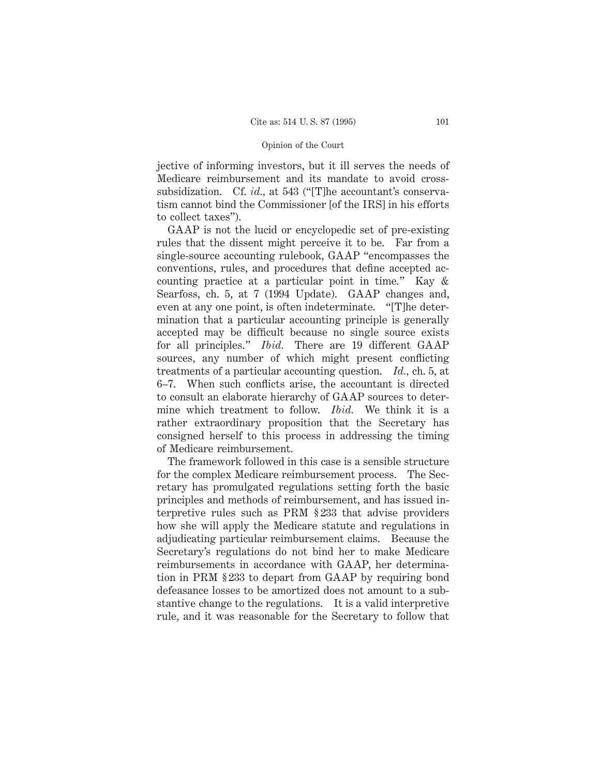jective of informing investors, but it ill serves the needs of Medicare reimbursement and its mandate to avoid crosssubsidization. Cf. *id.,* at 543 ("[T]he accountant's conservatism cannot bind the Commissioner [of the IRS] in his efforts to collect taxes").

GAAP is not the lucid or encyclopedic set of pre-existing rules that the dissent might perceive it to be. Far from a single-source accounting rulebook, GAAP "encompasses the conventions, rules, and procedures that define accepted accounting practice at a particular point in time." Kay & Searfoss, ch. 5, at 7 (1994 Update). GAAP changes and, even at any one point, is often indeterminate. "[T]he determination that a particular accounting principle is generally accepted may be difficult because no single source exists for all principles." *Ibid.* There are 19 different GAAP sources, any number of which might present conflicting treatments of a particular accounting question. *Id.,* ch. 5, at 6–7. When such conflicts arise, the accountant is directed to consult an elaborate hierarchy of GAAP sources to determine which treatment to follow. *Ibid.* We think it is a rather extraordinary proposition that the Secretary has consigned herself to this process in addressing the timing of Medicare reimbursement.

The framework followed in this case is a sensible structure for the complex Medicare reimbursement process. The Secretary has promulgated regulations setting forth the basic principles and methods of reimbursement, and has issued interpretive rules such as PRM § 233 that advise providers how she will apply the Medicare statute and regulations in adjudicating particular reimbursement claims. Because the Secretary's regulations do not bind her to make Medicare reimbursements in accordance with GAAP, her determination in PRM § 233 to depart from GAAP by requiring bond defeasance losses to be amortized does not amount to a substantive change to the regulations. It is a valid interpretive rule, and it was reasonable for the Secretary to follow that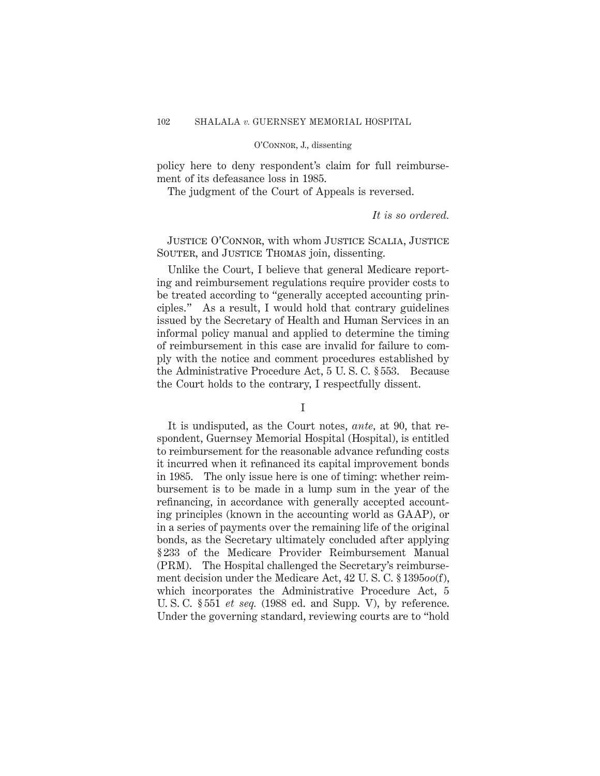policy here to deny respondent's claim for full reimbursement of its defeasance loss in 1985.

The judgment of the Court of Appeals is reversed.

### *It is so ordered.*

Justice O'Connor, with whom Justice Scalia, Justice SOUTER, and JUSTICE THOMAS join, dissenting.

Unlike the Court, I believe that general Medicare reporting and reimbursement regulations require provider costs to be treated according to "generally accepted accounting principles." As a result, I would hold that contrary guidelines issued by the Secretary of Health and Human Services in an informal policy manual and applied to determine the timing of reimbursement in this case are invalid for failure to comply with the notice and comment procedures established by the Administrative Procedure Act, 5 U. S. C. § 553. Because the Court holds to the contrary, I respectfully dissent.

### I

It is undisputed, as the Court notes, *ante,* at 90, that respondent, Guernsey Memorial Hospital (Hospital), is entitled to reimbursement for the reasonable advance refunding costs it incurred when it refinanced its capital improvement bonds in 1985. The only issue here is one of timing: whether reimbursement is to be made in a lump sum in the year of the refinancing, in accordance with generally accepted accounting principles (known in the accounting world as GAAP), or in a series of payments over the remaining life of the original bonds, as the Secretary ultimately concluded after applying § 233 of the Medicare Provider Reimbursement Manual (PRM). The Hospital challenged the Secretary's reimbursement decision under the Medicare Act, 42 U. S. C. § 1395*oo*(f), which incorporates the Administrative Procedure Act, 5 U. S. C. § 551 *et seq.* (1988 ed. and Supp. V), by reference. Under the governing standard, reviewing courts are to "hold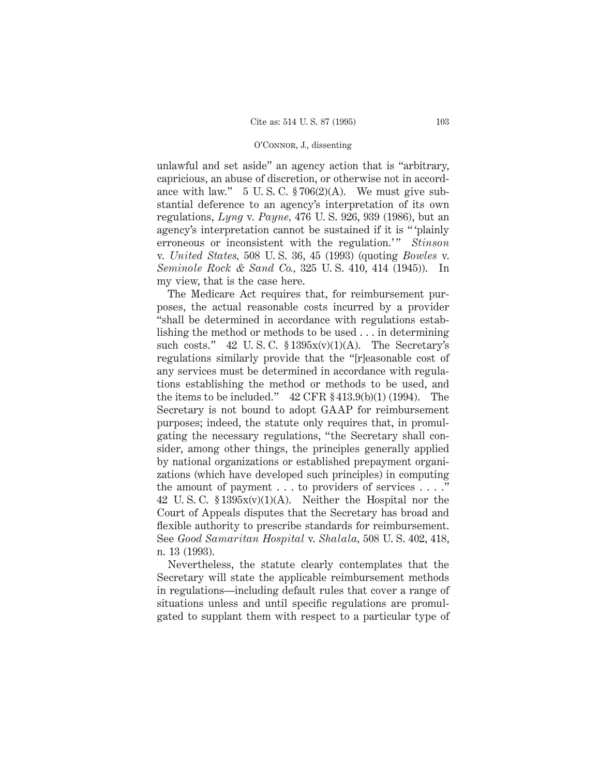unlawful and set aside" an agency action that is "arbitrary, capricious, an abuse of discretion, or otherwise not in accordance with law."  $5 \text{ U.S. C. } $706(2)(\text{A})$ . We must give substantial deference to an agency's interpretation of its own regulations, *Lyng* v. *Payne,* 476 U. S. 926, 939 (1986), but an agency's interpretation cannot be sustained if it is " 'plainly erroneous or inconsistent with the regulation.'" *Stinson* v. *United States,* 508 U. S. 36, 45 (1993) (quoting *Bowles* v. *Seminole Rock & Sand Co.,* 325 U. S. 410, 414 (1945)). In my view, that is the case here.

The Medicare Act requires that, for reimbursement purposes, the actual reasonable costs incurred by a provider "shall be determined in accordance with regulations establishing the method or methods to be used . . . in determining such costs." 42 U.S.C.  $$1395x(v)(1)(A)$ . The Secretary's regulations similarly provide that the "[r]easonable cost of any services must be determined in accordance with regulations establishing the method or methods to be used, and the items to be included." 42 CFR § 413.9(b)(1) (1994). The Secretary is not bound to adopt GAAP for reimbursement purposes; indeed, the statute only requires that, in promulgating the necessary regulations, "the Secretary shall consider, among other things, the principles generally applied by national organizations or established prepayment organizations (which have developed such principles) in computing the amount of payment . . . to providers of services . . . ." 42 U.S.C.  $$1395x(v)(1)(A)$ . Neither the Hospital nor the Court of Appeals disputes that the Secretary has broad and flexible authority to prescribe standards for reimbursement. See *Good Samaritan Hospital* v. *Shalala,* 508 U. S. 402, 418, n. 13 (1993).

Nevertheless, the statute clearly contemplates that the Secretary will state the applicable reimbursement methods in regulations—including default rules that cover a range of situations unless and until specific regulations are promulgated to supplant them with respect to a particular type of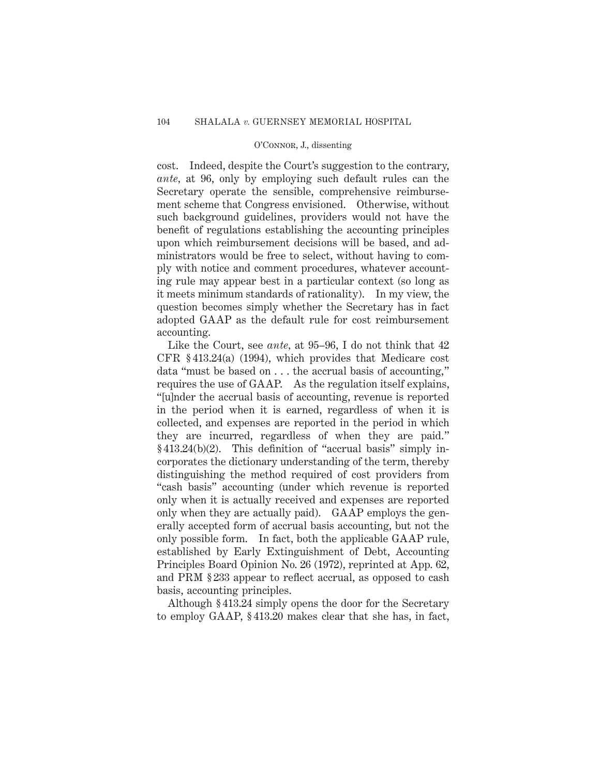cost. Indeed, despite the Court's suggestion to the contrary, *ante,* at 96, only by employing such default rules can the Secretary operate the sensible, comprehensive reimbursement scheme that Congress envisioned. Otherwise, without such background guidelines, providers would not have the benefit of regulations establishing the accounting principles upon which reimbursement decisions will be based, and administrators would be free to select, without having to comply with notice and comment procedures, whatever accounting rule may appear best in a particular context (so long as it meets minimum standards of rationality). In my view, the question becomes simply whether the Secretary has in fact adopted GAAP as the default rule for cost reimbursement accounting.

Like the Court, see *ante,* at 95–96, I do not think that 42 CFR § 413.24(a) (1994), which provides that Medicare cost data "must be based on . . . the accrual basis of accounting," requires the use of GAAP. As the regulation itself explains, "[u]nder the accrual basis of accounting, revenue is reported in the period when it is earned, regardless of when it is collected, and expenses are reported in the period in which they are incurred, regardless of when they are paid." § 413.24(b)(2). This definition of "accrual basis" simply incorporates the dictionary understanding of the term, thereby distinguishing the method required of cost providers from "cash basis" accounting (under which revenue is reported only when it is actually received and expenses are reported only when they are actually paid). GAAP employs the generally accepted form of accrual basis accounting, but not the only possible form. In fact, both the applicable GAAP rule, established by Early Extinguishment of Debt, Accounting Principles Board Opinion No. 26 (1972), reprinted at App. 62, and PRM § 233 appear to reflect accrual, as opposed to cash basis, accounting principles.

Although § 413.24 simply opens the door for the Secretary to employ GAAP, § 413.20 makes clear that she has, in fact,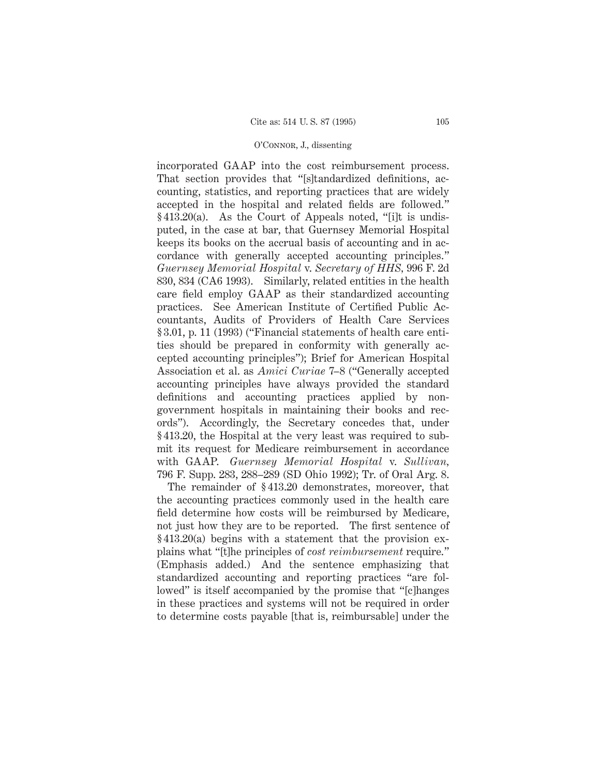incorporated GAAP into the cost reimbursement process. That section provides that "[s]tandardized definitions, accounting, statistics, and reporting practices that are widely accepted in the hospital and related fields are followed." § 413.20(a). As the Court of Appeals noted, "[i]t is undisputed, in the case at bar, that Guernsey Memorial Hospital keeps its books on the accrual basis of accounting and in accordance with generally accepted accounting principles." *Guernsey Memorial Hospital* v. *Secretary of HHS,* 996 F. 2d 830, 834 (CA6 1993). Similarly, related entities in the health care field employ GAAP as their standardized accounting practices. See American Institute of Certified Public Accountants, Audits of Providers of Health Care Services § 3.01, p. 11 (1993) ("Financial statements of health care entities should be prepared in conformity with generally accepted accounting principles"); Brief for American Hospital Association et al. as *Amici Curiae* 7–8 ("Generally accepted accounting principles have always provided the standard definitions and accounting practices applied by nongovernment hospitals in maintaining their books and records"). Accordingly, the Secretary concedes that, under § 413.20, the Hospital at the very least was required to submit its request for Medicare reimbursement in accordance with GAAP. *Guernsey Memorial Hospital* v. *Sullivan,* 796 F. Supp. 283, 288–289 (SD Ohio 1992); Tr. of Oral Arg. 8.

The remainder of § 413.20 demonstrates, moreover, that the accounting practices commonly used in the health care field determine how costs will be reimbursed by Medicare, not just how they are to be reported. The first sentence of § 413.20(a) begins with a statement that the provision explains what "[t]he principles of *cost reimbursement* require." (Emphasis added.) And the sentence emphasizing that standardized accounting and reporting practices "are followed" is itself accompanied by the promise that "[c]hanges in these practices and systems will not be required in order to determine costs payable [that is, reimbursable] under the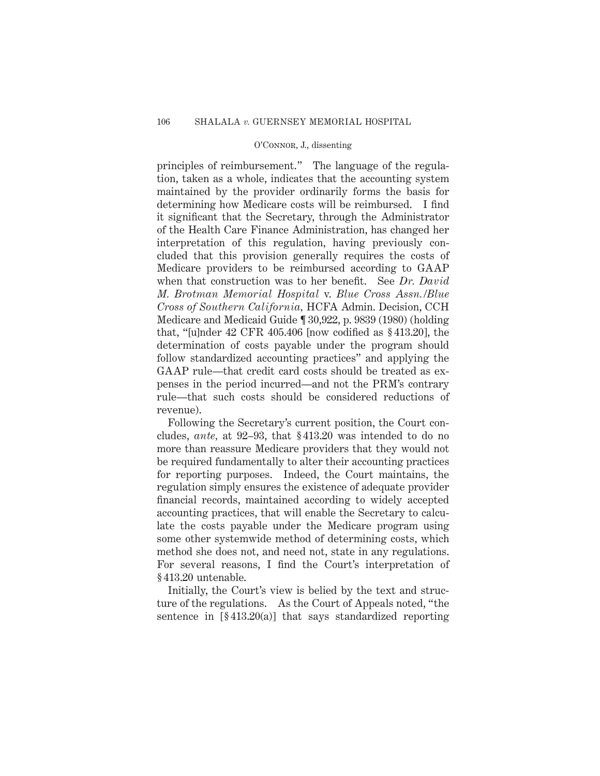principles of reimbursement." The language of the regulation, taken as a whole, indicates that the accounting system maintained by the provider ordinarily forms the basis for determining how Medicare costs will be reimbursed. I find it significant that the Secretary, through the Administrator of the Health Care Finance Administration, has changed her interpretation of this regulation, having previously concluded that this provision generally requires the costs of Medicare providers to be reimbursed according to GAAP when that construction was to her benefit. See *Dr. David M. Brotman Memorial Hospital* v. *Blue Cross Assn./Blue Cross of Southern California,* HCFA Admin. Decision, CCH Medicare and Medicaid Guide ¶ 30,922, p. 9839 (1980) (holding that, "[u]nder  $42$  CFR  $405.406$  [now codified as  $§413.20$ ], the determination of costs payable under the program should follow standardized accounting practices" and applying the GAAP rule—that credit card costs should be treated as expenses in the period incurred—and not the PRM's contrary rule—that such costs should be considered reductions of revenue).

Following the Secretary's current position, the Court concludes, *ante,* at 92–93, that § 413.20 was intended to do no more than reassure Medicare providers that they would not be required fundamentally to alter their accounting practices for reporting purposes. Indeed, the Court maintains, the regulation simply ensures the existence of adequate provider financial records, maintained according to widely accepted accounting practices, that will enable the Secretary to calculate the costs payable under the Medicare program using some other systemwide method of determining costs, which method she does not, and need not, state in any regulations. For several reasons, I find the Court's interpretation of § 413.20 untenable.

Initially, the Court's view is belied by the text and structure of the regulations. As the Court of Appeals noted, "the sentence in  $[\$413.20(a)]$  that says standardized reporting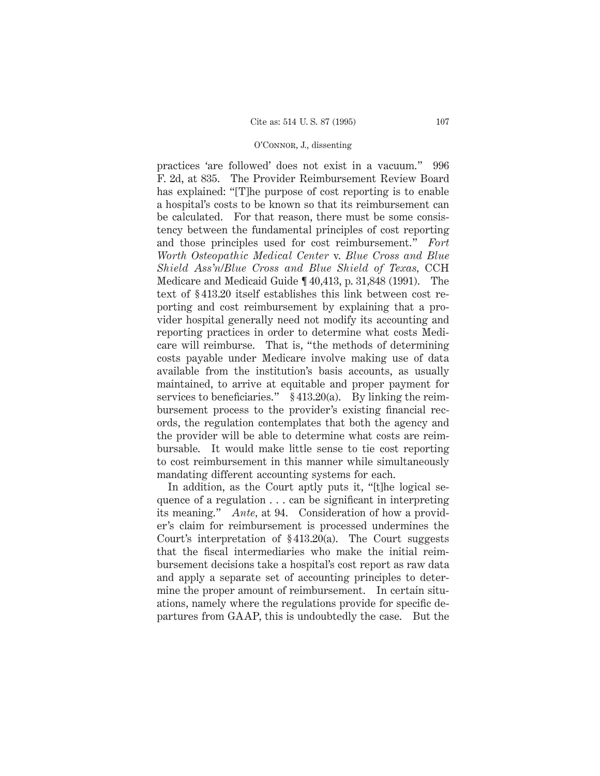practices 'are followed' does not exist in a vacuum." 996 F. 2d, at 835. The Provider Reimbursement Review Board has explained: "[T]he purpose of cost reporting is to enable a hospital's costs to be known so that its reimbursement can be calculated. For that reason, there must be some consistency between the fundamental principles of cost reporting and those principles used for cost reimbursement." *Fort Worth Osteopathic Medical Center* v. *Blue Cross and Blue Shield Ass'n/Blue Cross and Blue Shield of Texas,* CCH Medicare and Medicaid Guide ¶ 40,413, p. 31,848 (1991). The text of § 413.20 itself establishes this link between cost reporting and cost reimbursement by explaining that a provider hospital generally need not modify its accounting and reporting practices in order to determine what costs Medicare will reimburse. That is, "the methods of determining costs payable under Medicare involve making use of data available from the institution's basis accounts, as usually maintained, to arrive at equitable and proper payment for services to beneficiaries." § 413.20(a). By linking the reimbursement process to the provider's existing financial records, the regulation contemplates that both the agency and the provider will be able to determine what costs are reimbursable. It would make little sense to tie cost reporting to cost reimbursement in this manner while simultaneously mandating different accounting systems for each.

In addition, as the Court aptly puts it, "[t]he logical sequence of a regulation . . . can be significant in interpreting its meaning." *Ante,* at 94. Consideration of how a provider's claim for reimbursement is processed undermines the Court's interpretation of § 413.20(a). The Court suggests that the fiscal intermediaries who make the initial reimbursement decisions take a hospital's cost report as raw data and apply a separate set of accounting principles to determine the proper amount of reimbursement. In certain situations, namely where the regulations provide for specific departures from GAAP, this is undoubtedly the case. But the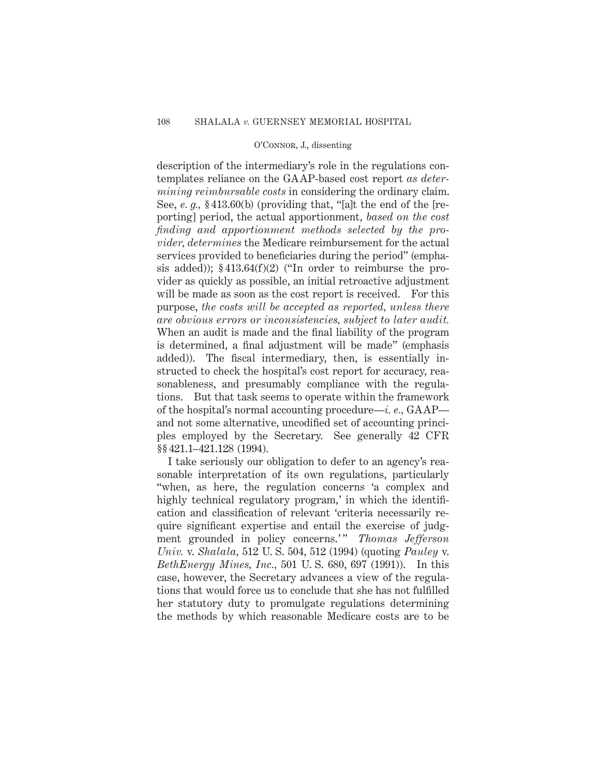description of the intermediary's role in the regulations contemplates reliance on the GAAP-based cost report *as determining reimbursable costs* in considering the ordinary claim. See, *e. g.,* § 413.60(b) (providing that, "[a]t the end of the [reporting] period, the actual apportionment, *based on the cost finding and apportionment methods selected by the provider, determines* the Medicare reimbursement for the actual services provided to beneficiaries during the period" (emphasis added)); § 413.64(f)(2) ("In order to reimburse the provider as quickly as possible, an initial retroactive adjustment will be made as soon as the cost report is received. For this purpose, *the costs will be accepted as reported, unless there are obvious errors or inconsistencies, subject to later audit.* When an audit is made and the final liability of the program is determined, a final adjustment will be made" (emphasis added)). The fiscal intermediary, then, is essentially instructed to check the hospital's cost report for accuracy, reasonableness, and presumably compliance with the regulations. But that task seems to operate within the framework of the hospital's normal accounting procedure—*i. e.,* GAAP and not some alternative, uncodified set of accounting principles employed by the Secretary. See generally 42 CFR §§ 421.1–421.128 (1994).

I take seriously our obligation to defer to an agency's reasonable interpretation of its own regulations, particularly "when, as here, the regulation concerns 'a complex and highly technical regulatory program,' in which the identification and classification of relevant 'criteria necessarily require significant expertise and entail the exercise of judgment grounded in policy concerns.'" *Thomas Jefferson Univ.* v. *Shalala,* 512 U. S. 504, 512 (1994) (quoting *Pauley* v. *BethEnergy Mines, Inc.,* 501 U. S. 680, 697 (1991)). In this case, however, the Secretary advances a view of the regulations that would force us to conclude that she has not fulfilled her statutory duty to promulgate regulations determining the methods by which reasonable Medicare costs are to be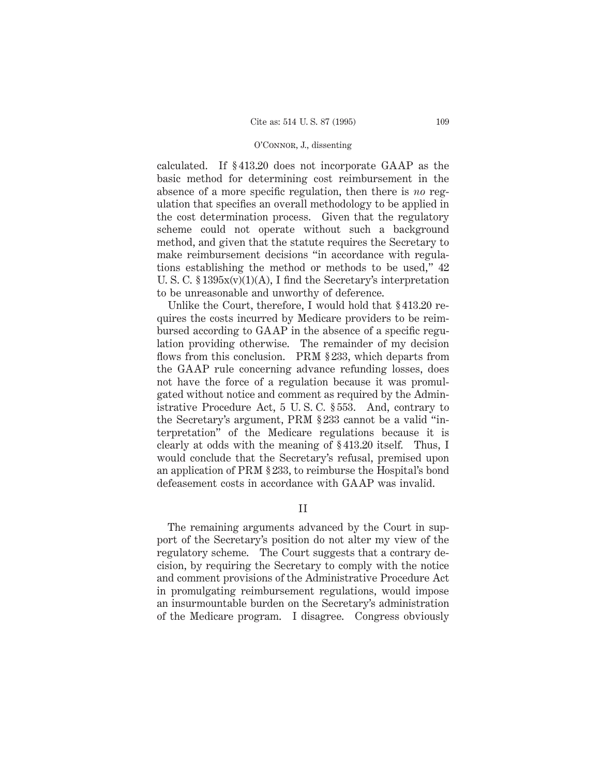calculated. If § 413.20 does not incorporate GAAP as the basic method for determining cost reimbursement in the absence of a more specific regulation, then there is *no* regulation that specifies an overall methodology to be applied in the cost determination process. Given that the regulatory scheme could not operate without such a background method, and given that the statute requires the Secretary to make reimbursement decisions "in accordance with regulations establishing the method or methods to be used," 42 U. S. C.  $\S 1395x(v)(1)(A)$ , I find the Secretary's interpretation to be unreasonable and unworthy of deference.

Unlike the Court, therefore, I would hold that § 413.20 requires the costs incurred by Medicare providers to be reimbursed according to GAAP in the absence of a specific regulation providing otherwise. The remainder of my decision flows from this conclusion. PRM § 233, which departs from the GAAP rule concerning advance refunding losses, does not have the force of a regulation because it was promulgated without notice and comment as required by the Administrative Procedure Act, 5 U. S. C. § 553. And, contrary to the Secretary's argument, PRM § 233 cannot be a valid "interpretation" of the Medicare regulations because it is clearly at odds with the meaning of § 413.20 itself. Thus, I would conclude that the Secretary's refusal, premised upon an application of PRM § 233, to reimburse the Hospital's bond defeasement costs in accordance with GAAP was invalid.

II

The remaining arguments advanced by the Court in support of the Secretary's position do not alter my view of the regulatory scheme. The Court suggests that a contrary decision, by requiring the Secretary to comply with the notice and comment provisions of the Administrative Procedure Act in promulgating reimbursement regulations, would impose an insurmountable burden on the Secretary's administration of the Medicare program. I disagree. Congress obviously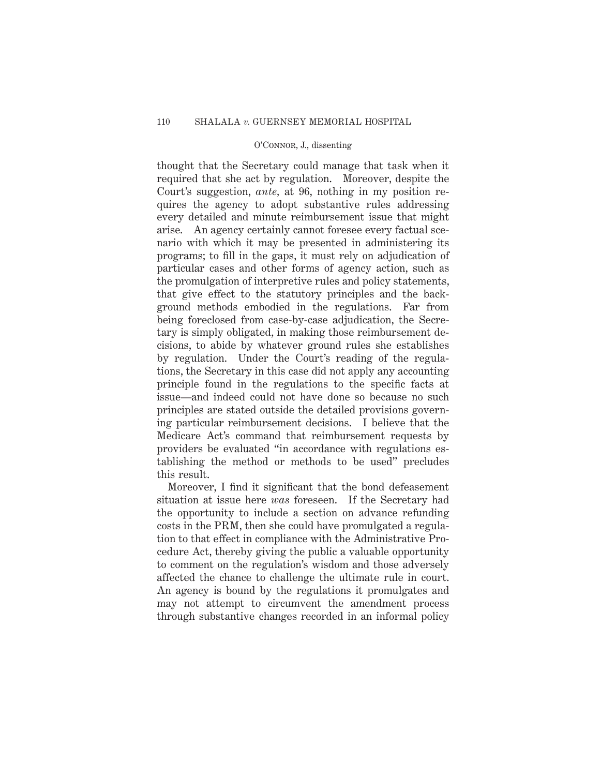thought that the Secretary could manage that task when it required that she act by regulation. Moreover, despite the Court's suggestion, *ante,* at 96, nothing in my position requires the agency to adopt substantive rules addressing every detailed and minute reimbursement issue that might arise. An agency certainly cannot foresee every factual scenario with which it may be presented in administering its programs; to fill in the gaps, it must rely on adjudication of particular cases and other forms of agency action, such as the promulgation of interpretive rules and policy statements, that give effect to the statutory principles and the background methods embodied in the regulations. Far from being foreclosed from case-by-case adjudication, the Secretary is simply obligated, in making those reimbursement decisions, to abide by whatever ground rules she establishes by regulation. Under the Court's reading of the regulations, the Secretary in this case did not apply any accounting principle found in the regulations to the specific facts at issue—and indeed could not have done so because no such principles are stated outside the detailed provisions governing particular reimbursement decisions. I believe that the Medicare Act's command that reimbursement requests by providers be evaluated "in accordance with regulations establishing the method or methods to be used" precludes this result.

Moreover, I find it significant that the bond defeasement situation at issue here *was* foreseen. If the Secretary had the opportunity to include a section on advance refunding costs in the PRM, then she could have promulgated a regulation to that effect in compliance with the Administrative Procedure Act, thereby giving the public a valuable opportunity to comment on the regulation's wisdom and those adversely affected the chance to challenge the ultimate rule in court. An agency is bound by the regulations it promulgates and may not attempt to circumvent the amendment process through substantive changes recorded in an informal policy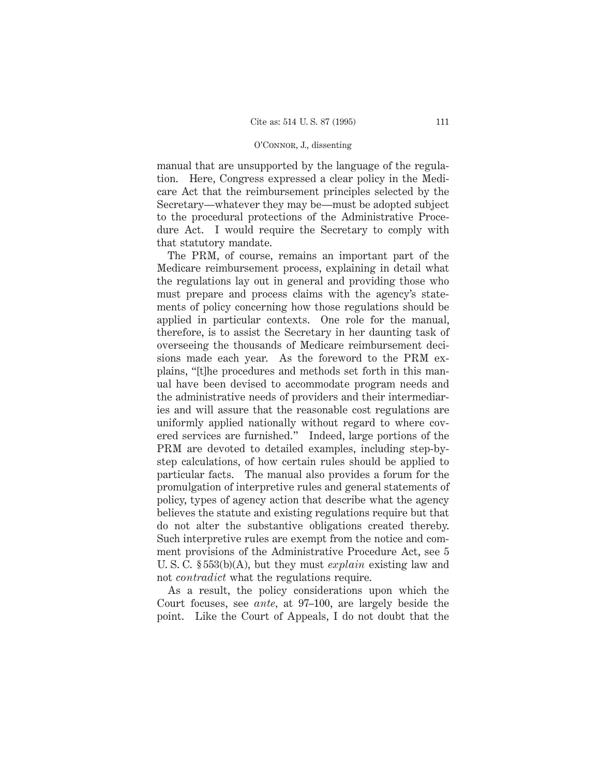manual that are unsupported by the language of the regulation. Here, Congress expressed a clear policy in the Medicare Act that the reimbursement principles selected by the Secretary—whatever they may be—must be adopted subject to the procedural protections of the Administrative Procedure Act. I would require the Secretary to comply with that statutory mandate.

The PRM, of course, remains an important part of the Medicare reimbursement process, explaining in detail what the regulations lay out in general and providing those who must prepare and process claims with the agency's statements of policy concerning how those regulations should be applied in particular contexts. One role for the manual, therefore, is to assist the Secretary in her daunting task of overseeing the thousands of Medicare reimbursement decisions made each year. As the foreword to the PRM explains, "[t]he procedures and methods set forth in this manual have been devised to accommodate program needs and the administrative needs of providers and their intermediaries and will assure that the reasonable cost regulations are uniformly applied nationally without regard to where covered services are furnished." Indeed, large portions of the PRM are devoted to detailed examples, including step-bystep calculations, of how certain rules should be applied to particular facts. The manual also provides a forum for the promulgation of interpretive rules and general statements of policy, types of agency action that describe what the agency believes the statute and existing regulations require but that do not alter the substantive obligations created thereby. Such interpretive rules are exempt from the notice and comment provisions of the Administrative Procedure Act, see 5 U. S. C. § 553(b)(A), but they must *explain* existing law and not *contradict* what the regulations require.

As a result, the policy considerations upon which the Court focuses, see *ante,* at 97–100, are largely beside the point. Like the Court of Appeals, I do not doubt that the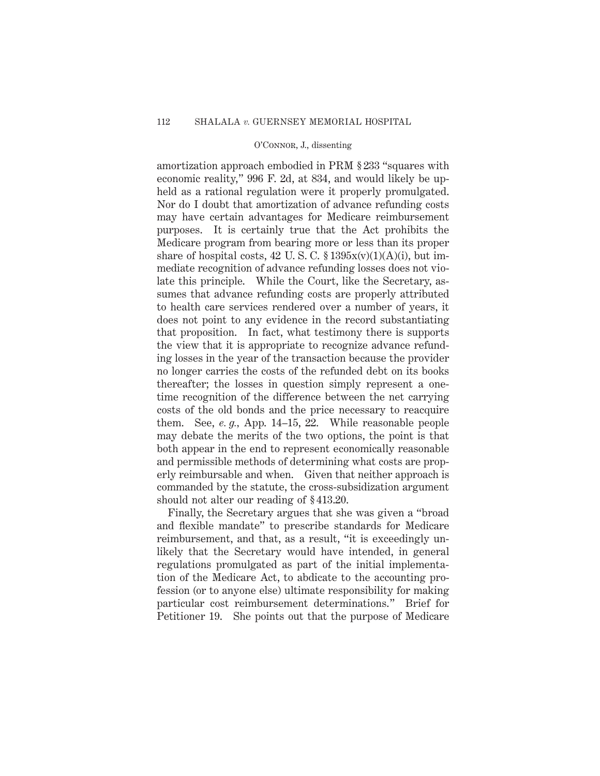amortization approach embodied in PRM § 233 "squares with economic reality," 996 F. 2d, at 834, and would likely be upheld as a rational regulation were it properly promulgated. Nor do I doubt that amortization of advance refunding costs may have certain advantages for Medicare reimbursement purposes. It is certainly true that the Act prohibits the Medicare program from bearing more or less than its proper share of hospital costs, 42 U.S.C.  $\S 1395x(v)(1)(A)(i)$ , but immediate recognition of advance refunding losses does not violate this principle. While the Court, like the Secretary, assumes that advance refunding costs are properly attributed to health care services rendered over a number of years, it does not point to any evidence in the record substantiating that proposition. In fact, what testimony there is supports the view that it is appropriate to recognize advance refunding losses in the year of the transaction because the provider no longer carries the costs of the refunded debt on its books thereafter; the losses in question simply represent a onetime recognition of the difference between the net carrying costs of the old bonds and the price necessary to reacquire them. See, *e. g.,* App. 14–15, 22. While reasonable people may debate the merits of the two options, the point is that both appear in the end to represent economically reasonable and permissible methods of determining what costs are properly reimbursable and when. Given that neither approach is commanded by the statute, the cross-subsidization argument should not alter our reading of § 413.20.

Finally, the Secretary argues that she was given a "broad and flexible mandate" to prescribe standards for Medicare reimbursement, and that, as a result, "it is exceedingly unlikely that the Secretary would have intended, in general regulations promulgated as part of the initial implementation of the Medicare Act, to abdicate to the accounting profession (or to anyone else) ultimate responsibility for making particular cost reimbursement determinations." Brief for Petitioner 19. She points out that the purpose of Medicare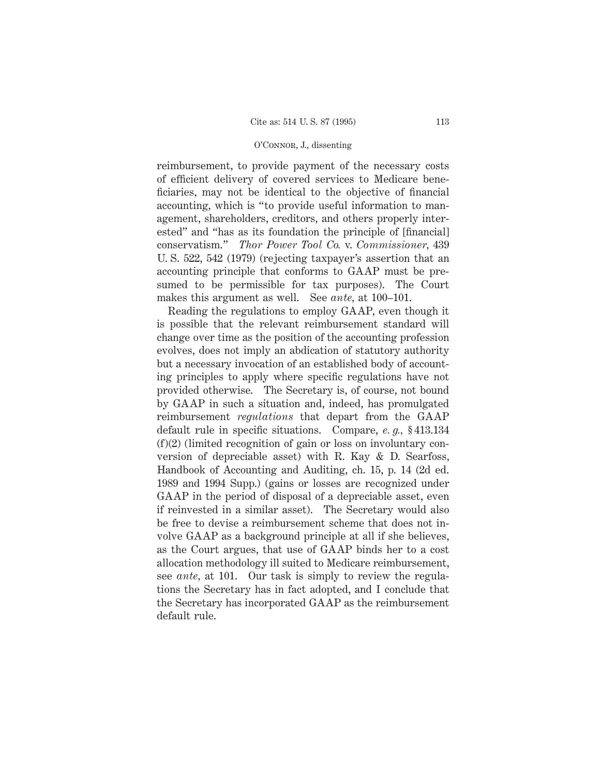reimbursement, to provide payment of the necessary costs of efficient delivery of covered services to Medicare beneficiaries, may not be identical to the objective of financial accounting, which is "to provide useful information to management, shareholders, creditors, and others properly interested" and "has as its foundation the principle of [financial] conservatism." *Thor Power Tool Co.* v. *Commissioner,* 439 U. S. 522, 542 (1979) (rejecting taxpayer's assertion that an accounting principle that conforms to GAAP must be presumed to be permissible for tax purposes). The Court makes this argument as well. See *ante,* at 100–101.

Reading the regulations to employ GAAP, even though it is possible that the relevant reimbursement standard will change over time as the position of the accounting profession evolves, does not imply an abdication of statutory authority but a necessary invocation of an established body of accounting principles to apply where specific regulations have not provided otherwise. The Secretary is, of course, not bound by GAAP in such a situation and, indeed, has promulgated reimbursement *regulations* that depart from the GAAP default rule in specific situations. Compare, *e. g.,* § 413.134 (f)(2) (limited recognition of gain or loss on involuntary conversion of depreciable asset) with R. Kay & D. Searfoss, Handbook of Accounting and Auditing, ch. 15, p. 14 (2d ed. 1989 and 1994 Supp.) (gains or losses are recognized under GAAP in the period of disposal of a depreciable asset, even if reinvested in a similar asset). The Secretary would also be free to devise a reimbursement scheme that does not involve GAAP as a background principle at all if she believes, as the Court argues, that use of GAAP binds her to a cost allocation methodology ill suited to Medicare reimbursement, see *ante,* at 101. Our task is simply to review the regulations the Secretary has in fact adopted, and I conclude that the Secretary has incorporated GAAP as the reimbursement default rule.